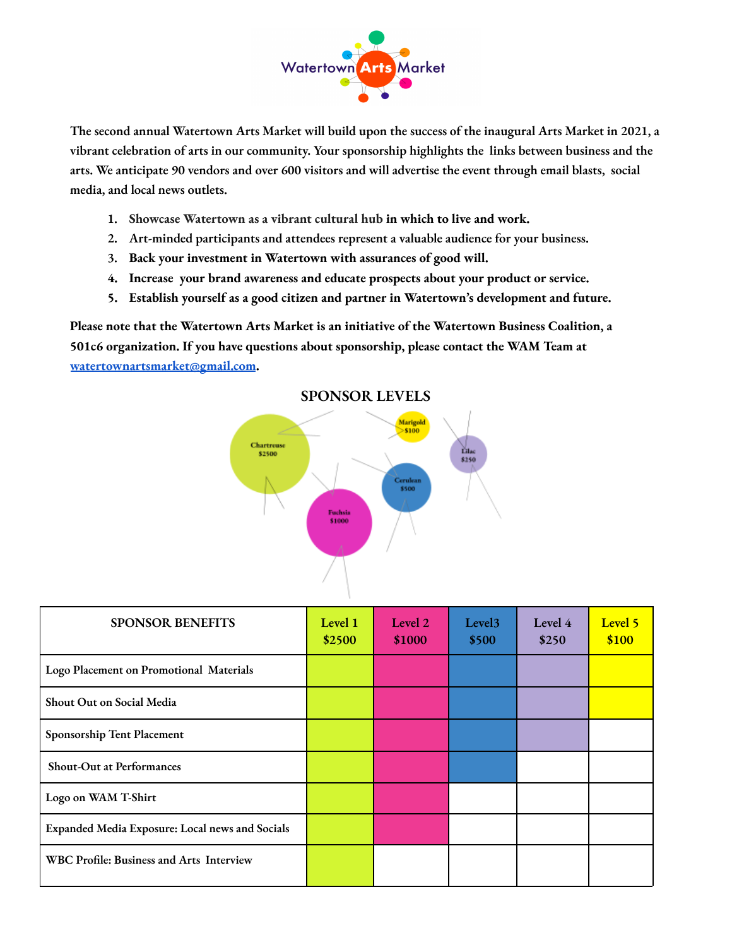

The second annual Watertown Arts Market will build upon the success of the inaugural Arts Market in 2021, a **vibrant celebration of arts in our community. Your sponsorship highlights the links between business and the** arts. We anticipate 90 vendors and over 600 visitors and will advertise the event through email blasts, social **media, and local news outlets.**

- **1. Showcase Watertown as a vibrant cultural hub in which to live and work.**
- **2. Art-minded participants and attendees represent a valuable audience for your business.**
- **3. Back your investment in Watertown with assurances of good will.**
- **4. Increase your brand awareness and educate prospects about your product or service.**
- **5. Establish yourself as a good citizen and partner in Watertown's development and future.**

**Please note that the Watertown Arts Market is an initiative of the Watertown Business Coalition, a 501c6 organization. If you have questions about sponsorship, please contact the WAM Team at [watertownartsmarket@gmail.com](mailto:watertownartsmarket@gmail.com).**



**SPONSOR LEVELS**

| <b>SPONSOR BENEFITS</b>                         | Level 1<br>\$2500 | Level 2<br>\$1000 | Level <sub>3</sub><br>\$500 | Level 4<br>\$250 | Level 5<br>\$100 |
|-------------------------------------------------|-------------------|-------------------|-----------------------------|------------------|------------------|
| Logo Placement on Promotional Materials         |                   |                   |                             |                  |                  |
| Shout Out on Social Media                       |                   |                   |                             |                  |                  |
| Sponsorship Tent Placement                      |                   |                   |                             |                  |                  |
| <b>Shout-Out at Performances</b>                |                   |                   |                             |                  |                  |
| Logo on WAM T-Shirt                             |                   |                   |                             |                  |                  |
| Expanded Media Exposure: Local news and Socials |                   |                   |                             |                  |                  |
| <b>WBC Profile: Business and Arts Interview</b> |                   |                   |                             |                  |                  |